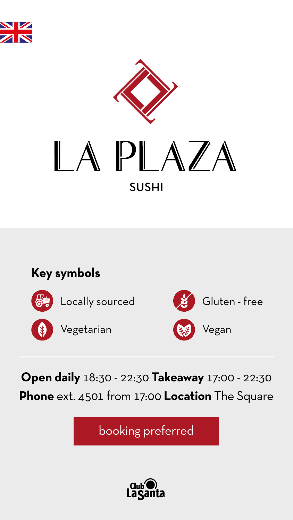### **Open daily** 18:30 - 22:30 **Takeaway** 17:00 - 22:30 **Phone** ext. 4501 from 17:00 **Location** The Square





# PLAZA SUSHI

booking preferred



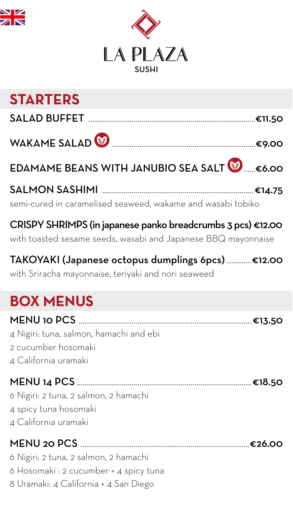### **STARTERS**

SALAD BUFFET .....................................................................................€11.50

WAKAME SALAD .........................................................................€9.00

EDAMAME BEANS WITH JANUBIO SEA SALT **&** ....€6.00

SALMON SASHIMI .............................................................................€14.75

semi-cured in caramelised seaweed, wakame and wasabi tobiko

#### CRISPY SHRIMPS (in japanese panko breadcrumbs 3 pcs) €12.00 with toasted sesame seeds, wasabi and Japanese BBQ mayonnaise

#### TAKOYAKI (Japanese octopus dumplings 6pcs).............€12.00

with Sriracha mayonnaise, teriyaki and nori seaweed

# **BOX MENUS**

#### MENU 10 PCS ........................................................................................€13.50

4 Nigiri: tuna, salmon, hamachi and ebi 2 cucumber hosomaki 4 California uramaki

#### MENU 14 PCS .........................................................................................€18.50

6 Nigiri: 2 tuna, 2 salmon, 2 hamachi 4 spicy tuna hosomaki 4 California uramaki

#### MENU 20 PCS ......................................................................................€26.00

6 Nigiri: 2 tuna, 2 salmon, 2 hamachi 6 Hosomaki : 2 cucumber + 4 spicy tuna 8 Uramaki: 4 California + 4 San Diego



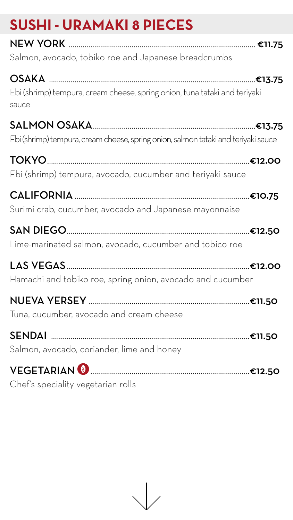# **SUSHI - URAMAKI 8 PIECES**

NEW YORK ............................................................................................... €11.75

Salmon, avocado, tobiko roe and Japanese breadcrumbs

OSAKA .........................................................................................................€13.75 Ebi (shrimp) tempura, cream cheese, spring onion, tuna tataki and teriyaki sauce

SALMON OSAKA...................................................................................€13.75 Ebi (shrimp) tempura, cream cheese, spring onion, salmon tataki and teriyaki sauce

TOKYO.......................................................................................................€12.00 Ebi (shrimp) tempura, avocado, cucumber and teriyaki sauce

CALIFORNIA .........................................................................................€10.75 Surimi crab, cucumber, avocado and Japanese mayonnaise

SAN DIEGO.............................................................................................€12.50

Lime-marinated salmon, avocado, cucumber and tobico roe

LAS VEGAS.............................................................................................€12.00

Hamachi and tobiko roe, spring onion, avocado and cucumber

NUEVA YERSEY ..................................................................................€11.50

Tuna, cucumber, avocado and cream cheese

SENDAI .....................................................................................................€11.50

Salmon, avocado, coriander, lime and honey

#### VEGETARIAN .................................................................................€12.50

Chef's speciality vegetarian rolls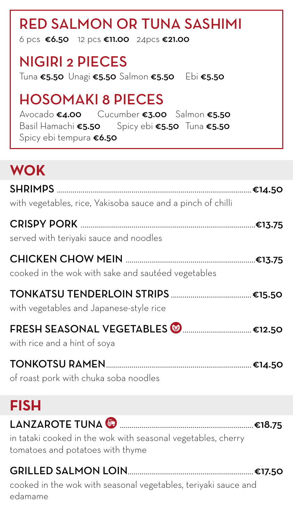# RED SALMON OR TUNA SASHIMI

6 pcs  $€6.50$  12 pcs  $€11.00$  24pcs  $€21.00$ 

## NIGIRI 2 PIECES

Avocado €4.00 Cucumber €3.00 Salmon €5.50 Basil Hamachi €5.50 Spicy ebi €5.50 Tuna €5.50 Spicy ebi tempura €6.50

Tuna €5.50 Unagi €5.50 Salmon €5.50 Ebi €5.50

# HOSOMAKI 8 PIECES

# **WOK**

SHRIMPS ...................................................................................................€14.50

with vegetables, rice, Yakisoba sauce and a pinch of chilli

#### CRISPY PORK .........................................................................................€13.75

served with teriyaki sauce and noodles

| cooked in the wok with sake and sauteed vegetables                             |        |
|--------------------------------------------------------------------------------|--------|
| with vegetables and Japanese-style rice                                        |        |
| FRESH SEASONAL VEGETABLES <a><br/> €12.50<br/>with rice and a hint of soya</a> |        |
| TONKOTSU RAMEN<br>of roast pork with chuka soba noodles                        |        |
| <b>FISH</b>                                                                    |        |
| LANZAROTE TUNA 6                                                               | €18.75 |

in tataki cooked in the wok with seasonal vegetables, cherry tomatoes and potatoes with thyme

# GRILLED SALMON LOIN................................................................€17.50

#### cooked in the wok with seasonal vegetables, teriyaki sauce and

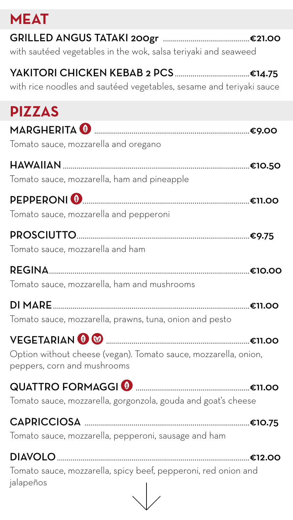### **MEAT**

### GRILLED ANGUS TATAKI 200gr ............................................€21.00

with sautéed vegetables in the wok, salsa teriyaki and seaweed

### YAKITORI CHICKEN KEBAB 2 PCS ..................................€14.75

with rice noodles and sautéed vegetables, sesame and teriyaki sauce



REGINA......................................................................................................€10.00 Tomato sauce, mozzarella, ham and mushrooms DI MARE....................................................................................................€11.00 Tomato sauce, mozzarella, prawns, tuna, onion and pesto VEGETARIAN .........................................................................€11.00 Option without cheese (vegan). Tomato sauce, mozzarella, onion, peppers, corn and mushrooms QUATTRO FORMAGGI ..........................................................€11.00 Tomato sauce, mozzarella, gorgonzola, gouda and goat's cheese CAPRICCIOSA ....................................................................................€10.75

Tomato sauce, mozzarella, pepperoni, sausage and ham

DIAVOLO..................................................................................................€12.00 Tomato sauce, mozzarella, spicy beef, pepperoni, red onion and jalapeños